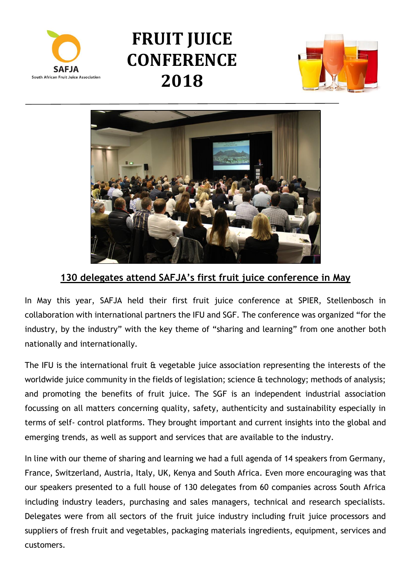

## **FRUIT JUICE CONFERENCE 2018**





## **130 delegates attend SAFJA's first fruit juice conference in May**

In May this year, SAFJA held their first fruit juice conference at SPIER, Stellenbosch in collaboration with international partners the IFU and SGF. The conference was organized "for the industry, by the industry" with the key theme of "sharing and learning" from one another both nationally and internationally.

The IFU is the international fruit & vegetable juice association representing the interests of the worldwide juice community in the fields of legislation; science & technology; methods of analysis; and promoting the benefits of fruit juice. The SGF is an independent industrial association focussing on all matters concerning quality, safety, authenticity and sustainability especially in terms of self- control platforms. They brought important and current insights into the global and emerging trends, as well as support and services that are available to the industry.

In line with our theme of sharing and learning we had a full agenda of 14 speakers from Germany, France, Switzerland, Austria, Italy, UK, Kenya and South Africa. Even more encouraging was that our speakers presented to a full house of 130 delegates from 60 companies across South Africa including industry leaders, purchasing and sales managers, technical and research specialists. Delegates were from all sectors of the fruit juice industry including fruit juice processors and suppliers of fresh fruit and vegetables, packaging materials ingredients, equipment, services and customers.